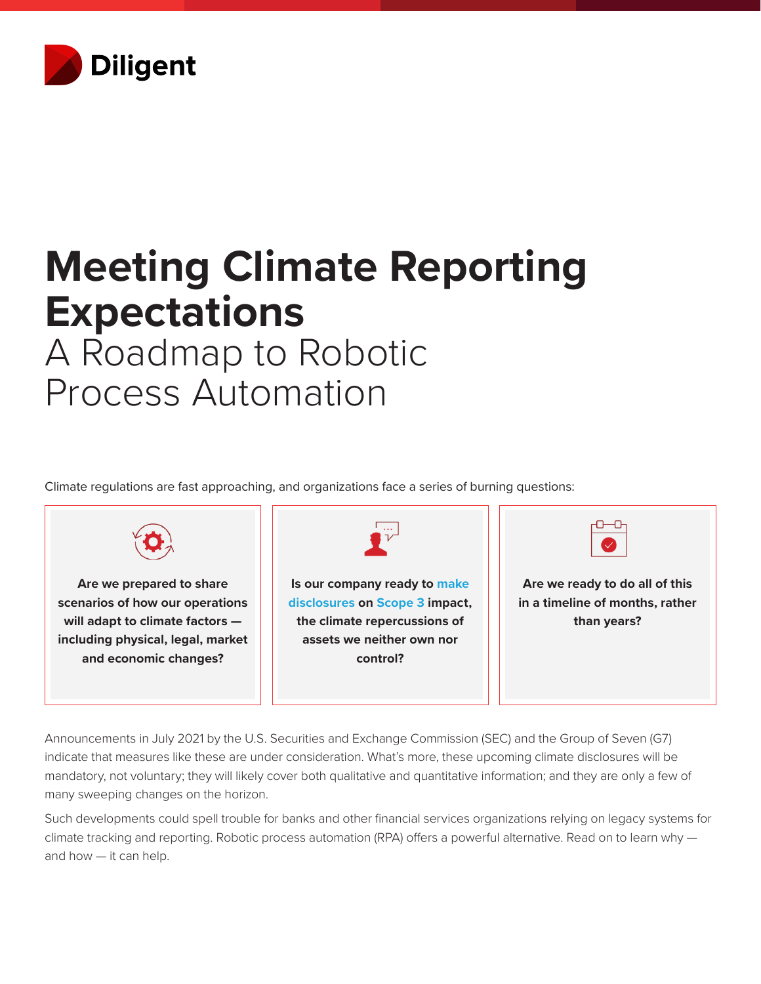

## **Meeting Climate Reporting Expectations**  A Roadmap to Robotic

# Process Automation

Climate regulations are fast approaching, and organizations face a series of burning questions:



Announcements in July 2021 by the U.S. Securities and Exchange Commission (SEC) and the Group of Seven (G7) indicate that measures like these are under consideration. What's more, these upcoming climate disclosures will be mandatory, not voluntary; they will likely cover both qualitative and quantitative information; and they are only a few of many sweeping changes on the horizon.

Such developments could spell trouble for banks and other financial services organizations relying on legacy systems for climate tracking and reporting. Robotic process automation (RPA) offers a powerful alternative. Read on to learn why and how — it can help.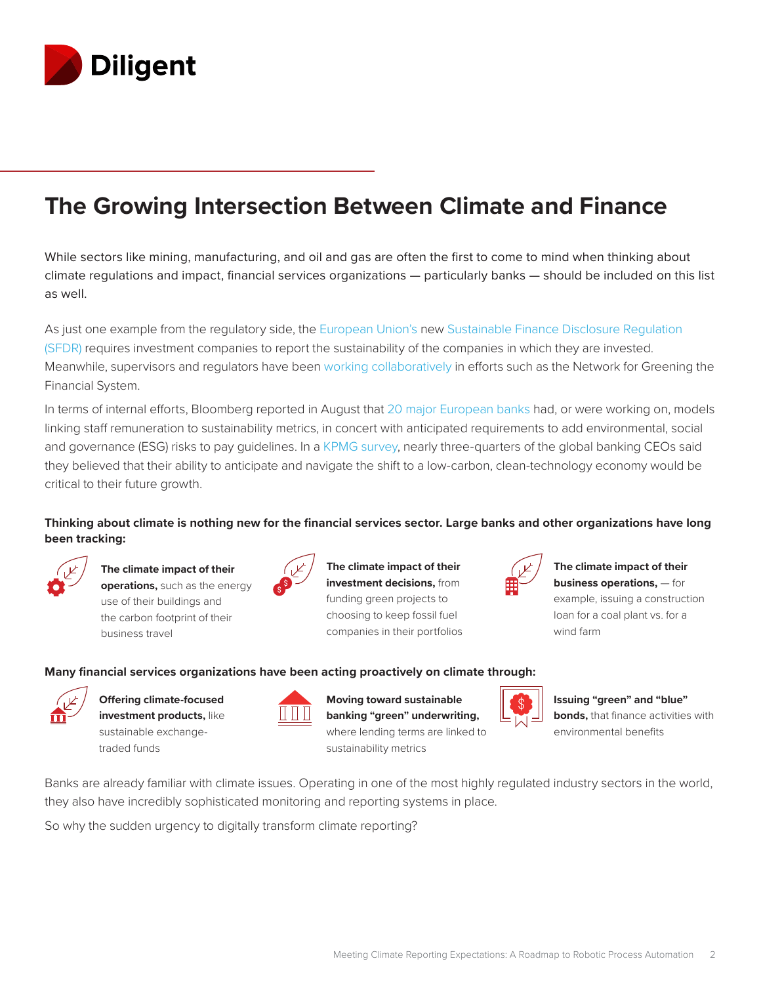

### **The Growing Intersection Between Climate and Finance**

While sectors like mining, manufacturing, and oil and gas are often the first to come to mind when thinking about climate regulations and impact, financial services organizations — particularly banks — should be included on this list as well.

As just one example from the regulatory side, the [European Union's](https://insights.diligent.com/esg/sfdr-disclosure-requirement-questions/) new [Sustainable Finance Disclosure Regulation](https://insights.diligent.com/sfdr/everything-you-need-to-know-about-sfdr-disclosures/)  [\(SFDR\)](https://insights.diligent.com/sfdr/everything-you-need-to-know-about-sfdr-disclosures/) requires investment companies to report the sustainability of the companies in which they are invested. Meanwhile, supervisors and regulators have been [working collaboratively](https://home.kpmg/xx/en/home/insights/2020/05/embedding-esg-into-banks-strategies.html) in efforts such as the Network for Greening the Financial System.

In terms of internal efforts, Bloomberg reported in August that [20 major European banks](https://www.bloomberg.com/news/articles/2021-08-19/banker-bonuses-tied-to-esg-metrics-are-on-the-rise-in-europe) had, or were working on, models linking staff remuneration to sustainability metrics, in concert with anticipated requirements to add environmental, social and governance (ESG) risks to pay guidelines. In a [KPMG survey,](https://home.kpmg/xx/en/home/insights/2020/05/embedding-esg-into-banks-strategies.html) nearly three-quarters of the global banking CEOs said they believed that their ability to anticipate and navigate the shift to a low-carbon, clean-technology economy would be critical to their future growth.

### **Thinking about climate is nothing new for the financial services sector. Large banks and other organizations have long been tracking:**



**The climate impact of their operations,** such as the energy use of their buildings and the carbon footprint of their business travel



**The climate impact of their investment decisions,** from funding green projects to choosing to keep fossil fuel companies in their portfolios



**The climate impact of their business operations,** — for example, issuing a construction loan for a coal plant vs. for a wind farm

#### **Many financial services organizations have been acting proactively on climate through:**



**Offering climate-focused investment products,** like

sustainable exchangetraded funds

**Moving toward sustainable banking "green" underwriting,** where lending terms are linked to sustainability metrics



**Issuing "green" and "blue" bonds,** that finance activities with environmental benefits

Banks are already familiar with climate issues. Operating in one of the most highly regulated industry sectors in the world, they also have incredibly sophisticated monitoring and reporting systems in place.

So why the sudden urgency to digitally transform climate reporting?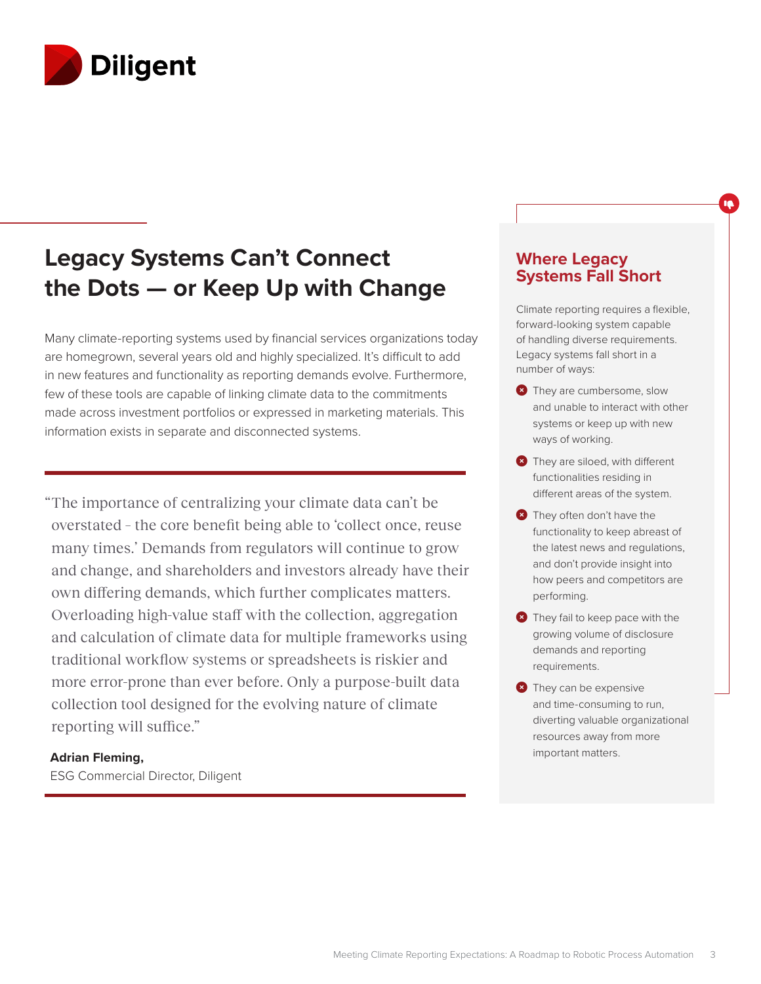

### **Legacy Systems Can't Connect the Dots — or Keep Up with Change**

Many climate-reporting systems used by financial services organizations today are homegrown, several years old and highly specialized. It's difficult to add in new features and functionality as reporting demands evolve. Furthermore, few of these tools are capable of linking climate data to the commitments made across investment portfolios or expressed in marketing materials. This information exists in separate and disconnected systems.

"The importance of centralizing your climate data can't be overstated – the core benefit being able to 'collect once, reuse many times.' Demands from regulators will continue to grow and change, and shareholders and investors already have their own differing demands, which further complicates matters. Overloading high-value staff with the collection, aggregation and calculation of climate data for multiple frameworks using traditional workflow systems or spreadsheets is riskier and more error-prone than ever before. Only a purpose-built data collection tool designed for the evolving nature of climate reporting will suffice."

#### **Adrian Fleming,**

ESG Commercial Director, Diligent

### **Where Legacy Systems Fall Short**

۱ę

Climate reporting requires a flexible, forward-looking system capable of handling diverse requirements. Legacy systems fall short in a number of ways:

- **O** They are cumbersome, slow and unable to interact with other systems or keep up with new ways of working.
- $\bullet$  They are siloed, with different functionalities residing in different areas of the system.
- $\bullet$  They often don't have the functionality to keep abreast of the latest news and regulations, and don't provide insight into how peers and competitors are performing.
- $\bullet$  They fail to keep pace with the growing volume of disclosure demands and reporting requirements.
- **O** They can be expensive and time-consuming to run, diverting valuable organizational resources away from more important matters.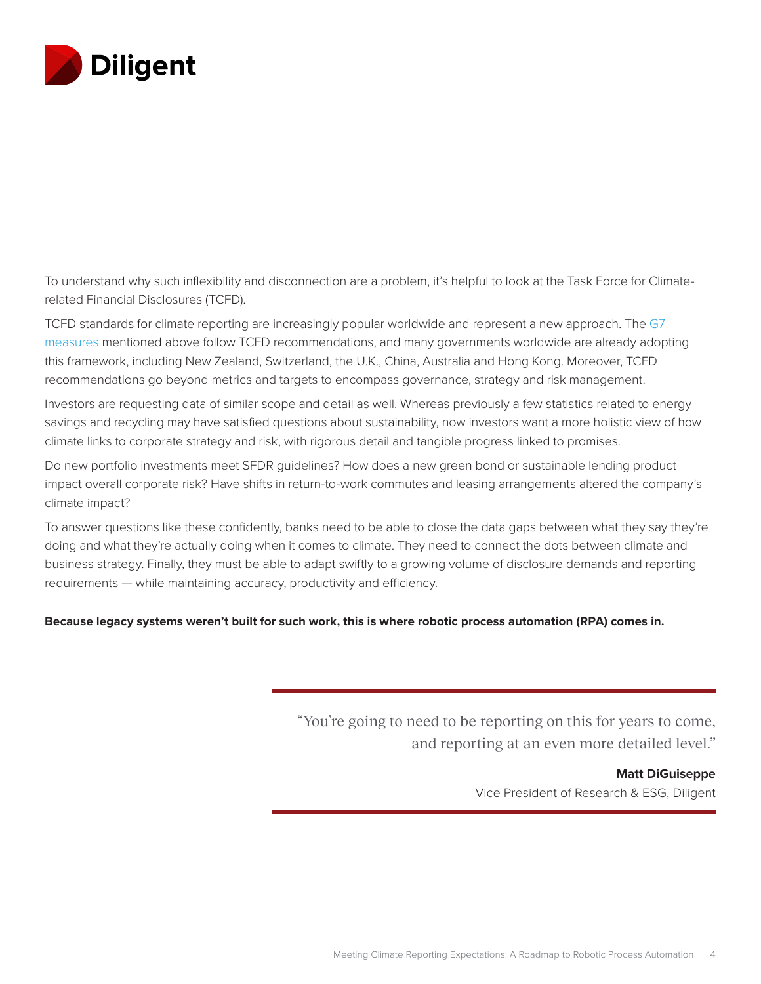

To understand why such inflexibility and disconnection are a problem, it's helpful to look at the Task Force for Climaterelated Financial Disclosures (TCFD).

TCFD standards for climate reporting are increasingly popular worldwide and represent a new approach. The [G7](https://insights.diligent.com/esg/climate-disclosure-trends/)  [measures](https://insights.diligent.com/esg/climate-disclosure-trends/) mentioned above follow TCFD recommendations, and many governments worldwide are already adopting this framework, including New Zealand, Switzerland, the U.K., China, Australia and Hong Kong. Moreover, TCFD recommendations go beyond metrics and targets to encompass governance, strategy and risk management.

Investors are requesting data of similar scope and detail as well. Whereas previously a few statistics related to energy savings and recycling may have satisfied questions about sustainability, now investors want a more holistic view of how climate links to corporate strategy and risk, with rigorous detail and tangible progress linked to promises.

Do new portfolio investments meet SFDR guidelines? How does a new green bond or sustainable lending product impact overall corporate risk? Have shifts in return-to-work commutes and leasing arrangements altered the company's climate impact?

To answer questions like these confidently, banks need to be able to close the data gaps between what they say they're doing and what they're actually doing when it comes to climate. They need to connect the dots between climate and business strategy. Finally, they must be able to adapt swiftly to a growing volume of disclosure demands and reporting requirements — while maintaining accuracy, productivity and efficiency.

**Because legacy systems weren't built for such work, this is where robotic process automation (RPA) comes in.**

"You're going to need to be reporting on this for years to come, and reporting at an even more detailed level."

**Matt DiGuiseppe**

Vice President of Research & ESG, Diligent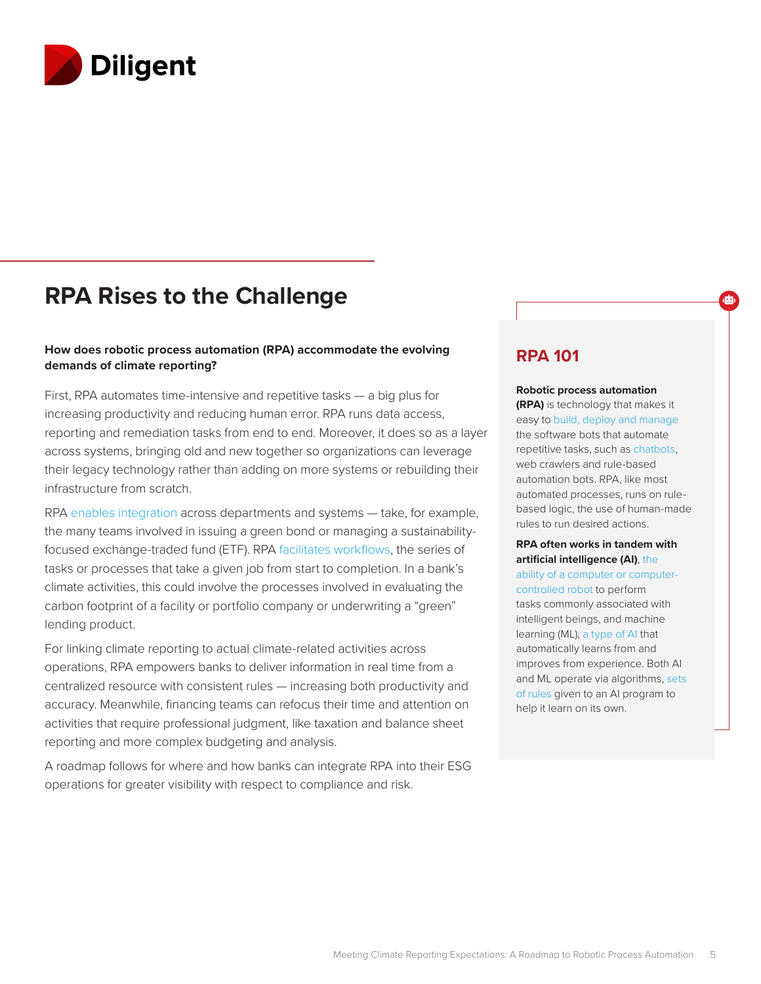

### **RPA Rises to the Challenge**

#### **How does robotic process automation (RPA) accommodate the evolving demands of climate reporting?**

First, RPA automates time-intensive and repetitive tasks — a big plus for increasing productivity and reducing human error. RPA runs data access, reporting and remediation tasks from end to end. Moreover, it does so as a layer across systems, bringing old and new together so organizations can leverage their legacy technology rather than adding on more systems or rebuilding their infrastructure from scratch.

RPA [enables integration](https://www.thinkautomation.com/eli5/an-automation-glossary/) across departments and systems — take, for example, the many teams involved in issuing a green bond or managing a sustainabilityfocused exchange-traded fund (ETF). RPA [facilitates workflows](https://www.thinkautomation.com/eli5/an-automation-glossary/), the series of tasks or processes that take a given job from start to completion. In a bank's climate activities, this could involve the processes involved in evaluating the carbon footprint of a facility or portfolio company or underwriting a "green" lending product.

For linking climate reporting to actual climate-related activities across operations, RPA empowers banks to deliver information in real time from a centralized resource with consistent rules — increasing both productivity and accuracy. Meanwhile, financing teams can refocus their time and attention on activities that require professional judgment, like taxation and balance sheet reporting and more complex budgeting and analysis.

A roadmap follows for where and how banks can integrate RPA into their ESG operations for greater visibility with respect to compliance and risk.

### **RPA 101**

#### **Robotic process automation**

ஞ்

**(RPA)** is technology that makes it easy to [build, deploy and manage](https://www.uipath.com/rpa/robotic-process-automation) the software bots that automate repetitive tasks, such as [chatbots,](https://www.thinkautomation.com/eli5/an-automation-glossary/) web crawlers and rule-based automation bots. RPA, like most automated processes, runs on rulebased logic, the use of human-made rules to run desired actions.

**RPA often works in tandem with artificial intelligence (AI)**, [the](https://www.britannica.com/technology/artificial-intelligence)  [ability of a computer or computer](https://www.britannica.com/technology/artificial-intelligence)[controlled robot](https://www.britannica.com/technology/artificial-intelligence) to perform tasks commonly associated with intelligent beings, and machine learning (ML), [a type of AI](https://www.expert.ai/blog/machine-learning-definition/) that automatically learns from and improves from experience. Both AI and ML operate via algorithms, [sets](https://dzone.com/articles/exploring-ai-algorithms#:~:text=In%20machine%20learning%2C%20an%20algorithm,it%20learn%20on%20its%20own.&text=artificial%20intelligence%3A%20algorithms.-,In%20machine%20learning%2C%20an%20algorithm%20is%20a%20set%20of%20rules,it%20learn%20on%20its%20own)  [of rules](https://dzone.com/articles/exploring-ai-algorithms#:~:text=In%20machine%20learning%2C%20an%20algorithm,it%20learn%20on%20its%20own.&text=artificial%20intelligence%3A%20algorithms.-,In%20machine%20learning%2C%20an%20algorithm%20is%20a%20set%20of%20rules,it%20learn%20on%20its%20own) given to an AI program to help it learn on its own.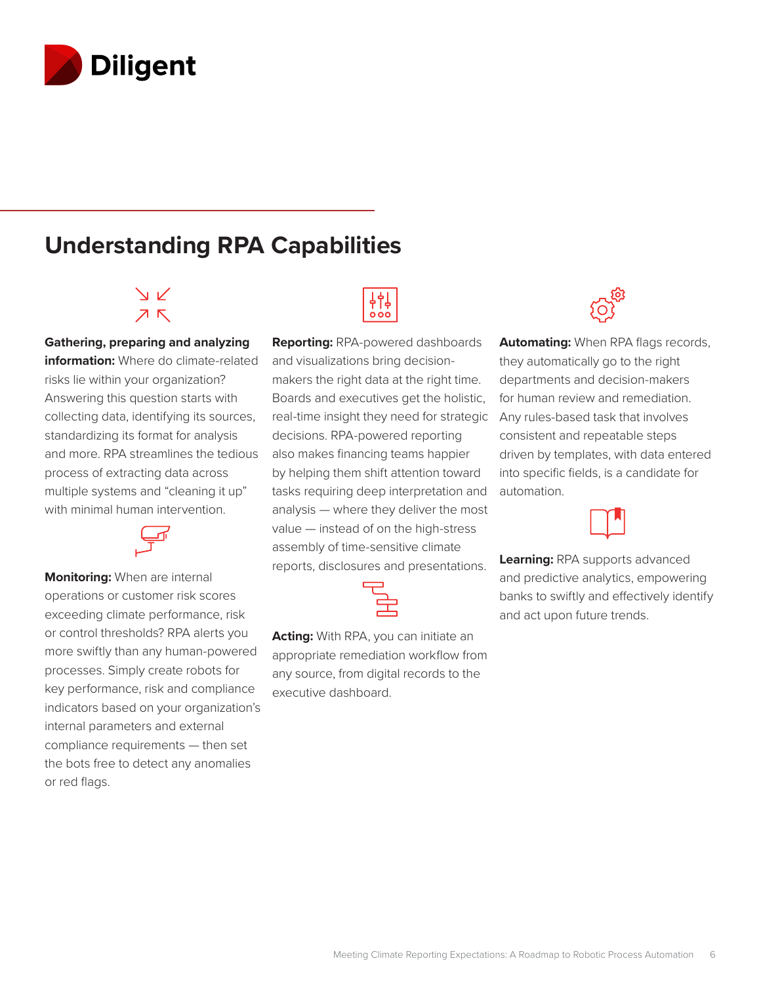

### **Understanding RPA Capabilities**

### $\vee$  $7K$

**Gathering, preparing and analyzing information:** Where do climate-related risks lie within your organization? Answering this question starts with collecting data, identifying its sources, standardizing its format for analysis and more. RPA streamlines the tedious process of extracting data across multiple systems and "cleaning it up" with minimal human intervention.

**Monitoring:** When are internal operations or customer risk scores exceeding climate performance, risk or control thresholds? RPA alerts you more swiftly than any human-powered processes. Simply create robots for key performance, risk and compliance indicators based on your organization's internal parameters and external compliance requirements — then set the bots free to detect any anomalies or red flags.



**Reporting:** RPA-powered dashboards and visualizations bring decisionmakers the right data at the right time. Boards and executives get the holistic, real-time insight they need for strategic decisions. RPA-powered reporting also makes financing teams happier by helping them shift attention toward tasks requiring deep interpretation and analysis — where they deliver the most value — instead of on the high-stress assembly of time-sensitive climate reports, disclosures and presentations.



**Acting:** With RPA, you can initiate an appropriate remediation workflow from any source, from digital records to the executive dashboard.



**Automating:** When RPA flags records, they automatically go to the right departments and decision-makers for human review and remediation. Any rules-based task that involves consistent and repeatable steps driven by templates, with data entered into specific fields, is a candidate for automation.

**Learning:** RPA supports advanced and predictive analytics, empowering banks to swiftly and effectively identify and act upon future trends.